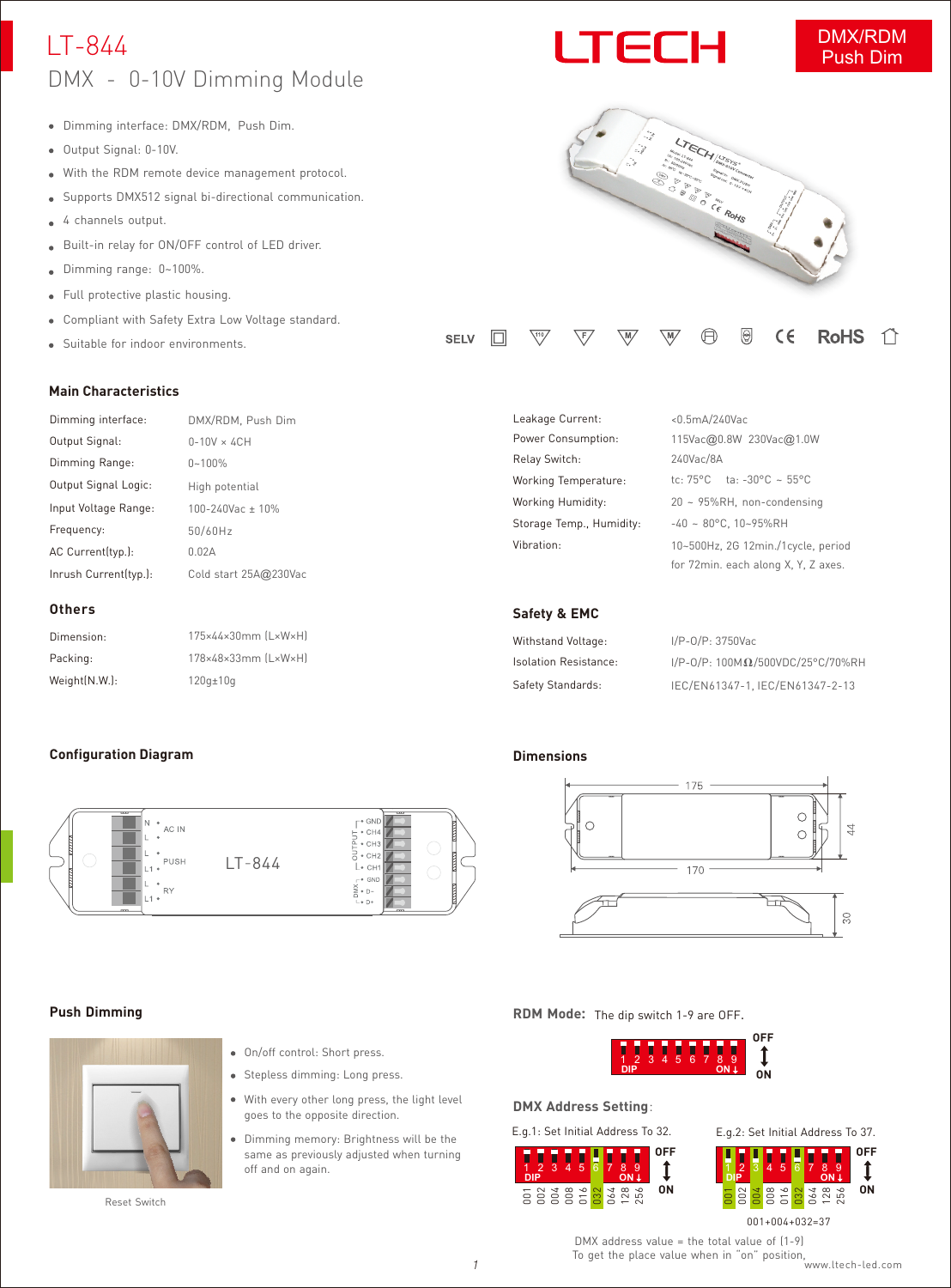### LT-844 DMX - 0-10V Dimming Module

- Dimming interface: DMX/RDM, Push Dim.
- Output Signal: 0-10V.
- With the RDM remote device management protocol.
- Supports DMX512 signal bi-directional communication.  $\bullet$
- 4 channels output.
- Built-in relay for ON/OFF control of LED driver.
- Dimming range: 0~100%.  $\bullet$
- $\bullet$ Full protective plastic housing.
- Compliant with Safety Extra Low Voltage standard.

Dimming interface: DMX/RDM, Push Dim

 $0-10V \times 4CH$ 

100-240Vac ± 10% High potential

Cold start 25A@230Vac

175×44×30mm (L×W×H) 178×48×33mm (L×W×H)

LT-844

50/60Hz

120g±10g

Suitable for indoor environments.

#### **Main Characteristics**

Input Voltage Range: Output Signal Logic:

Inrush Current(typ.):

AC Current(typ.): 0.02A

Dimming Range: 0~100%

Frequency:

**Others** Dimension: Packing: Weight(N.W.):

Output Signal:

# I TECH



| Leakage Current:         | <0.5mA/240Vac                                 |
|--------------------------|-----------------------------------------------|
| Power Consumption:       | 115Vac@0.8W 230Vac@1.0W                       |
| Relay Switch:            | 240Vac/8A                                     |
| Working Temperature:     | tc: $75^{\circ}$ C ta: $-30^{\circ}$ C ~ 55°C |
| Working Humidity:        | $20 \sim 95\%RH$ , non-condensing             |
| Storage Temp., Humidity: | $-40 \sim 80^{\circ}$ C. 10~95%RH             |
| Vibration:               | 10~500Hz, 2G 12min./1cycle, period            |
|                          | for 72min. each along X, Y, Z axes.           |

#### **Safety & EMC**

| Withstand Voltage:           | I/P-0/P: 3750Vac                             |
|------------------------------|----------------------------------------------|
| <b>Isolation Resistance:</b> | $I/P-O/P$ : 100M $\Omega$ /500VDC/25°C/70%RH |
| Safety Standards:            | IEC/EN61347-1, IEC/EN61347-2-13              |

#### **Dimensions**



#### **Push Dimming**

**Configuration Diagram**

AC IN

PUSH



Reset Switch

- On/off control: Short press.
- Stepless dimming: Long press.
- With every other long press, the light level goes to the opposite direction.
- Dimming memory: Brightness will be the same as previously adjusted when turning off and on again.

**RDM Mode:**  The dip switch 1-9 are OFF.



#### **DMX Address Setting**:





DMX address value = the total value of (1-9) To get the place value when in "on" position, *1* [www.ltech-led.com](http://www.ltech-led.com)